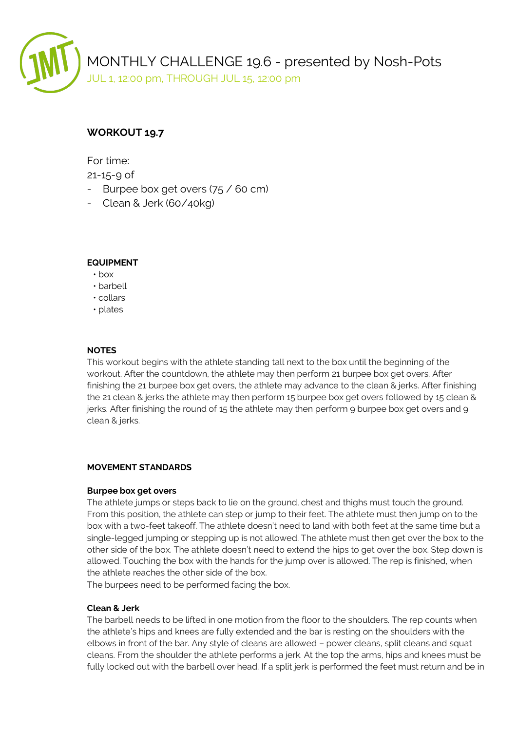

# **WORKOUT 19.7**

For time:

21-15-9 of

- Burpee box get overs (75 / 60 cm)
- Clean & Jerk (60/40kg)

### **EQUIPMENT**

- box
- barbell
- collars
- plates

### **NOTES**

This workout begins with the athlete standing tall next to the box until the beginning of the workout. After the countdown, the athlete may then perform 21 burpee box get overs. After finishing the 21 burpee box get overs, the athlete may advance to the clean & jerks. After finishing the 21 clean & jerks the athlete may then perform 15 burpee box get overs followed by 15 clean & jerks. After finishing the round of 15 the athlete may then perform 9 burpee box get overs and 9 clean & jerks.

## **MOVEMENT STANDARDS**

#### **Burpee box get overs**

The athlete jumps or steps back to lie on the ground, chest and thighs must touch the ground. From this position, the athlete can step or jump to their feet. The athlete must then jump on to the box with a two-feet takeoff. The athlete doesn't need to land with both feet at the same time but a single-legged jumping or stepping up is not allowed. The athlete must then get over the box to the other side of the box. The athlete doesn't need to extend the hips to get over the box. Step down is allowed. Touching the box with the hands for the jump over is allowed. The rep is finished, when the athlete reaches the other side of the box.

The burpees need to be performed facing the box.

#### **Clean & Jerk**

The barbell needs to be lifted in one motion from the floor to the shoulders. The rep counts when the athlete's hips and knees are fully extended and the bar is resting on the shoulders with the elbows in front of the bar. Any style of cleans are allowed – power cleans, split cleans and squat cleans. From the shoulder the athlete performs a jerk. At the top the arms, hips and knees must be fully locked out with the barbell over head. If a split jerk is performed the feet must return and be in